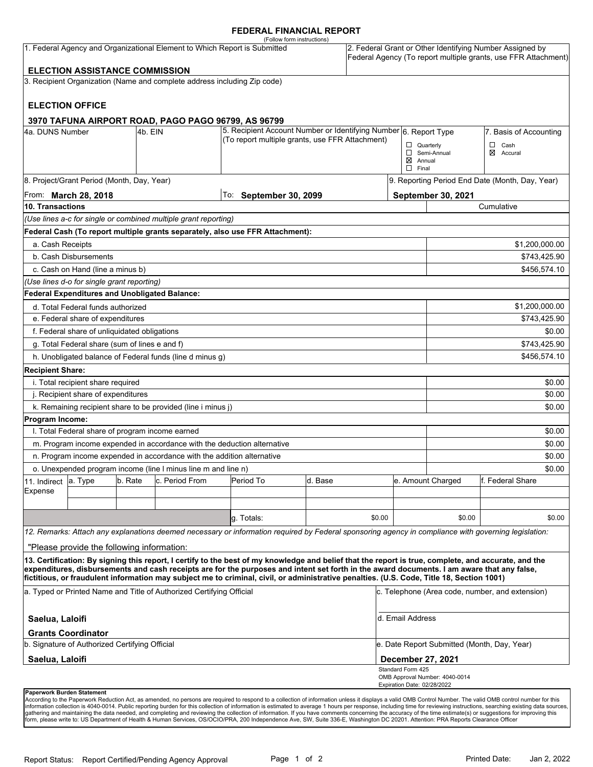### **FEDERAL FINANCIAL REPORT**

|                                                                                                                    |                                                 |         |                                                                          | (Follow form instructions)                                                                                                                                                                                                                                                                         |         |        |                                                                                                                            |                                                 |                           |  |
|--------------------------------------------------------------------------------------------------------------------|-------------------------------------------------|---------|--------------------------------------------------------------------------|----------------------------------------------------------------------------------------------------------------------------------------------------------------------------------------------------------------------------------------------------------------------------------------------------|---------|--------|----------------------------------------------------------------------------------------------------------------------------|-------------------------------------------------|---------------------------|--|
| 1. Federal Agency and Organizational Element to Which Report is Submitted<br><b>ELECTION ASSISTANCE COMMISSION</b> |                                                 |         |                                                                          |                                                                                                                                                                                                                                                                                                    |         |        | 2. Federal Grant or Other Identifying Number Assigned by<br>Federal Agency (To report multiple grants, use FFR Attachment) |                                                 |                           |  |
|                                                                                                                    |                                                 |         |                                                                          |                                                                                                                                                                                                                                                                                                    |         |        |                                                                                                                            |                                                 |                           |  |
|                                                                                                                    |                                                 |         | 3. Recipient Organization (Name and complete address including Zip code) |                                                                                                                                                                                                                                                                                                    |         |        |                                                                                                                            |                                                 |                           |  |
|                                                                                                                    | <b>ELECTION OFFICE</b>                          |         |                                                                          |                                                                                                                                                                                                                                                                                                    |         |        |                                                                                                                            |                                                 |                           |  |
|                                                                                                                    |                                                 |         | 3970 TAFUNA AIRPORT ROAD, PAGO PAGO 96799, AS 96799                      |                                                                                                                                                                                                                                                                                                    |         |        |                                                                                                                            |                                                 |                           |  |
| 4a. DUNS Number<br>4b. EIN                                                                                         |                                                 |         |                                                                          | 5. Recipient Account Number or Identifying Number 6. Report Type<br>(To report multiple grants, use FFR Attachment)                                                                                                                                                                                |         |        |                                                                                                                            |                                                 | 7. Basis of Accounting    |  |
|                                                                                                                    |                                                 |         |                                                                          |                                                                                                                                                                                                                                                                                                    |         |        | ⊠                                                                                                                          | $\Box$ Quarterly<br>Semi-Annual<br>Annual       | Cash<br>□<br>⊠<br>Accural |  |
|                                                                                                                    |                                                 |         |                                                                          |                                                                                                                                                                                                                                                                                                    |         |        | $\Box$ Final                                                                                                               |                                                 |                           |  |
|                                                                                                                    | 8. Project/Grant Period (Month, Day, Year)      |         |                                                                          |                                                                                                                                                                                                                                                                                                    |         |        |                                                                                                                            | 9. Reporting Period End Date (Month, Day, Year) |                           |  |
| From: <b>March 28, 2018</b>                                                                                        |                                                 |         |                                                                          | To: September 30, 2099                                                                                                                                                                                                                                                                             |         |        |                                                                                                                            | <b>September 30, 2021</b>                       |                           |  |
| 10. Transactions                                                                                                   |                                                 |         |                                                                          |                                                                                                                                                                                                                                                                                                    |         |        |                                                                                                                            |                                                 | Cumulative                |  |
|                                                                                                                    |                                                 |         | (Use lines a-c for single or combined multiple grant reporting)          |                                                                                                                                                                                                                                                                                                    |         |        |                                                                                                                            |                                                 |                           |  |
|                                                                                                                    |                                                 |         |                                                                          | Federal Cash (To report multiple grants separately, also use FFR Attachment):                                                                                                                                                                                                                      |         |        |                                                                                                                            |                                                 |                           |  |
| a. Cash Receipts                                                                                                   |                                                 |         |                                                                          |                                                                                                                                                                                                                                                                                                    |         |        |                                                                                                                            |                                                 | \$1,200,000.00            |  |
|                                                                                                                    | b. Cash Disbursements                           |         |                                                                          |                                                                                                                                                                                                                                                                                                    |         |        |                                                                                                                            |                                                 | \$743,425.90              |  |
|                                                                                                                    | c. Cash on Hand (line a minus b)                |         |                                                                          |                                                                                                                                                                                                                                                                                                    |         |        |                                                                                                                            |                                                 | \$456.574.10              |  |
|                                                                                                                    | (Use lines d-o for single grant reporting)      |         |                                                                          |                                                                                                                                                                                                                                                                                                    |         |        |                                                                                                                            |                                                 |                           |  |
|                                                                                                                    | Federal Expenditures and Unobligated Balance:   |         |                                                                          |                                                                                                                                                                                                                                                                                                    |         |        |                                                                                                                            |                                                 |                           |  |
|                                                                                                                    | d. Total Federal funds authorized               |         |                                                                          |                                                                                                                                                                                                                                                                                                    |         |        |                                                                                                                            | \$1,200,000.00                                  |                           |  |
| e. Federal share of expenditures                                                                                   |                                                 |         |                                                                          |                                                                                                                                                                                                                                                                                                    |         |        |                                                                                                                            | \$743,425.90                                    |                           |  |
|                                                                                                                    | f. Federal share of unliquidated obligations    |         |                                                                          |                                                                                                                                                                                                                                                                                                    |         |        |                                                                                                                            | \$0.00                                          |                           |  |
|                                                                                                                    | g. Total Federal share (sum of lines e and f)   |         |                                                                          |                                                                                                                                                                                                                                                                                                    |         |        |                                                                                                                            |                                                 | \$743,425.90              |  |
|                                                                                                                    |                                                 |         | h. Unobligated balance of Federal funds (line d minus g)                 |                                                                                                                                                                                                                                                                                                    |         |        |                                                                                                                            |                                                 | \$456,574.10              |  |
| <b>Recipient Share:</b>                                                                                            |                                                 |         |                                                                          |                                                                                                                                                                                                                                                                                                    |         |        |                                                                                                                            |                                                 |                           |  |
|                                                                                                                    | i. Total recipient share required               |         |                                                                          |                                                                                                                                                                                                                                                                                                    |         |        |                                                                                                                            |                                                 | \$0.00                    |  |
| j. Recipient share of expenditures                                                                                 |                                                 |         |                                                                          |                                                                                                                                                                                                                                                                                                    |         |        |                                                                                                                            | \$0.00                                          |                           |  |
|                                                                                                                    |                                                 |         | k. Remaining recipient share to be provided (line i minus j)             |                                                                                                                                                                                                                                                                                                    |         |        |                                                                                                                            |                                                 | \$0.00                    |  |
| Program Income:                                                                                                    |                                                 |         |                                                                          |                                                                                                                                                                                                                                                                                                    |         |        |                                                                                                                            |                                                 |                           |  |
|                                                                                                                    | I. Total Federal share of program income earned |         |                                                                          |                                                                                                                                                                                                                                                                                                    |         |        |                                                                                                                            |                                                 | \$0.00                    |  |
|                                                                                                                    |                                                 |         |                                                                          | m. Program income expended in accordance with the deduction alternative                                                                                                                                                                                                                            |         |        |                                                                                                                            |                                                 | \$0.00                    |  |
|                                                                                                                    |                                                 |         | n. Program income expended in accordance with the addition alternative   |                                                                                                                                                                                                                                                                                                    |         |        |                                                                                                                            |                                                 | \$0.00                    |  |
|                                                                                                                    |                                                 |         | o. Unexpended program income (line I minus line m and line n)            |                                                                                                                                                                                                                                                                                                    |         |        |                                                                                                                            |                                                 | \$0.00                    |  |
| 11. Indirect                                                                                                       | la. Type                                        | b. Rate | c. Period From                                                           | Period To                                                                                                                                                                                                                                                                                          | d. Base |        |                                                                                                                            | e. Amount Charged                               | lf. Federal Share         |  |
| Expense                                                                                                            |                                                 |         |                                                                          |                                                                                                                                                                                                                                                                                                    |         |        |                                                                                                                            |                                                 |                           |  |
|                                                                                                                    |                                                 |         |                                                                          |                                                                                                                                                                                                                                                                                                    |         |        |                                                                                                                            |                                                 |                           |  |
|                                                                                                                    |                                                 |         |                                                                          | g. Totals:                                                                                                                                                                                                                                                                                         |         | \$0.00 |                                                                                                                            | \$0.00                                          | \$0.00                    |  |
|                                                                                                                    |                                                 |         |                                                                          | 12. Remarks: Attach any explanations deemed necessary or information required by Federal sponsoring agency in compliance with governing legislation:                                                                                                                                               |         |        |                                                                                                                            |                                                 |                           |  |
|                                                                                                                    | "Please provide the following information:      |         |                                                                          |                                                                                                                                                                                                                                                                                                    |         |        |                                                                                                                            |                                                 |                           |  |
|                                                                                                                    |                                                 |         |                                                                          | 13. Certification: By signing this report, I certify to the best of my knowledge and belief that the report is true, complete, and accurate, and the<br>expenditures, disbursements and cash receipts are for the purposes and intent set forth in the award documents. I am aware that any false, |         |        |                                                                                                                            |                                                 |                           |  |
|                                                                                                                    |                                                 |         |                                                                          | fictitious, or fraudulent information may subject me to criminal, civil, or administrative penalties. (U.S. Code, Title 18, Section 1001)                                                                                                                                                          |         |        |                                                                                                                            |                                                 |                           |  |
| a. Typed or Printed Name and Title of Authorized Certifying Official                                               |                                                 |         |                                                                          |                                                                                                                                                                                                                                                                                                    |         |        | c. Telephone (Area code, number, and extension)                                                                            |                                                 |                           |  |
| Saelua, Laloifi                                                                                                    |                                                 |         |                                                                          |                                                                                                                                                                                                                                                                                                    |         |        | d. Email Address                                                                                                           |                                                 |                           |  |
|                                                                                                                    | <b>Grants Coordinator</b>                       |         |                                                                          |                                                                                                                                                                                                                                                                                                    |         |        |                                                                                                                            |                                                 |                           |  |
| b. Signature of Authorized Certifying Official                                                                     |                                                 |         |                                                                          |                                                                                                                                                                                                                                                                                                    |         |        | e. Date Report Submitted (Month, Day, Year)                                                                                |                                                 |                           |  |
| Saelua, Laloifi                                                                                                    |                                                 |         |                                                                          |                                                                                                                                                                                                                                                                                                    |         |        | December 27, 2021                                                                                                          |                                                 |                           |  |
|                                                                                                                    |                                                 |         |                                                                          |                                                                                                                                                                                                                                                                                                    |         |        | Standard Form 425<br>Expiration Date: 02/28/2022                                                                           | OMB Approval Number: 4040-0014                  |                           |  |
|                                                                                                                    | Paperwork Burden Statement                      |         |                                                                          |                                                                                                                                                                                                                                                                                                    |         |        |                                                                                                                            |                                                 |                           |  |

According to the Paperwork Reduction Act, as amended, no persons are required to respond to a collection of information unless it displays a valid OMB Control Number. The valid OMB control number for this<br>information colle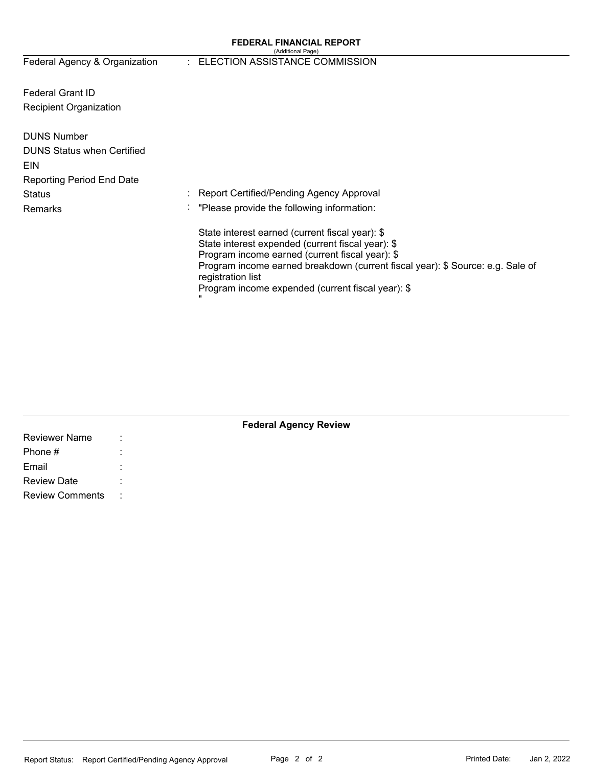#### **FEDERAL FINANCIAL REPORT**  (Additional Page)

Federal Agency & Organization

# : ELECTION ASSISTANCE COMMISSION

Federal Grant ID Recipient Organization

| <b>DUNS Number</b>                |                                                                                                     |
|-----------------------------------|-----------------------------------------------------------------------------------------------------|
| <b>DUNS Status when Certified</b> |                                                                                                     |
| <b>EIN</b>                        |                                                                                                     |
| <b>Reporting Period End Date</b>  |                                                                                                     |
| <b>Status</b>                     | : Report Certified/Pending Agency Approval                                                          |
| Remarks                           | : "Please provide the following information:                                                        |
|                                   | State interest earned (current fiscal year): \$                                                     |
|                                   | State interest expended (current fiscal year): \$                                                   |
|                                   | Program income earned (current fiscal year): \$                                                     |
|                                   | Program income earned breakdown (current fiscal year): \$ Source: e.g. Sale of<br>registration list |
|                                   | Program income expended (current fiscal year): \$                                                   |

| <b>Federal Agency Review</b> |  |  |  |  |  |  |
|------------------------------|--|--|--|--|--|--|
| <b>Reviewer Name</b>         |  |  |  |  |  |  |
| Phone #                      |  |  |  |  |  |  |
| Email                        |  |  |  |  |  |  |
| <b>Review Date</b>           |  |  |  |  |  |  |
| <b>Review Comments</b>       |  |  |  |  |  |  |
|                              |  |  |  |  |  |  |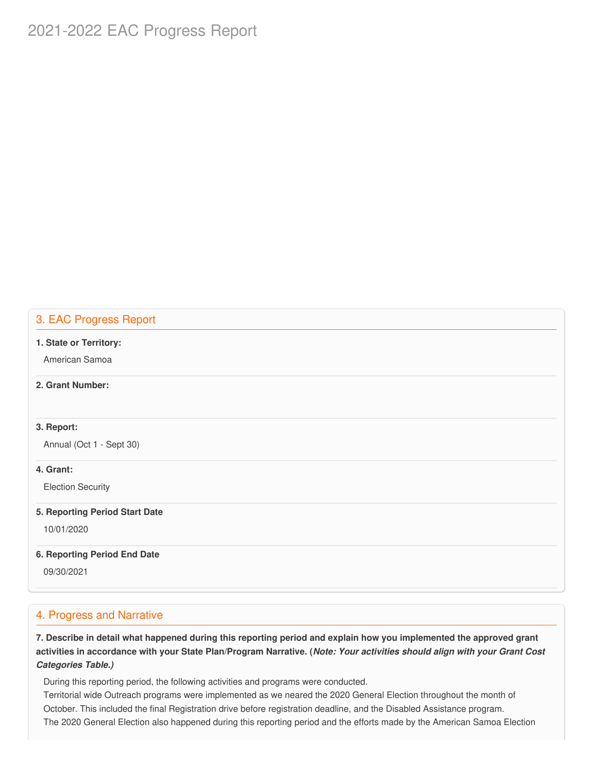# 2021-2022 EAC Progress Report

## 3. EAC Progress Report

#### **1. State or Territory:**

American Samoa

#### **2. Grant Number:**

### **3. Report:**

Annual (Oct 1 - Sept 30)

### **4. Grant:**

Election Security

#### **5. Reporting Period Start Date**

10/01/2020

#### **6. Reporting Period End Date**

09/30/2021

### 4. Progress and Narrative

7. Describe in detail what happened during this reporting period and explain how you implemented the approved grant activities in accordance with your State Plan/Program Narrative. (*Note: Your activities should align with your Grant Cost Categories Table.)*

During this reporting period, the following activities and programs were conducted.

 Territorial wide Outreach programs were implemented as we neared the 2020 General Election throughout the month of October. This included the final Registration drive before registration deadline, and the Disabled Assistance program. The 2020 General Election also happened during this reporting period and the efforts made by the American Samoa Election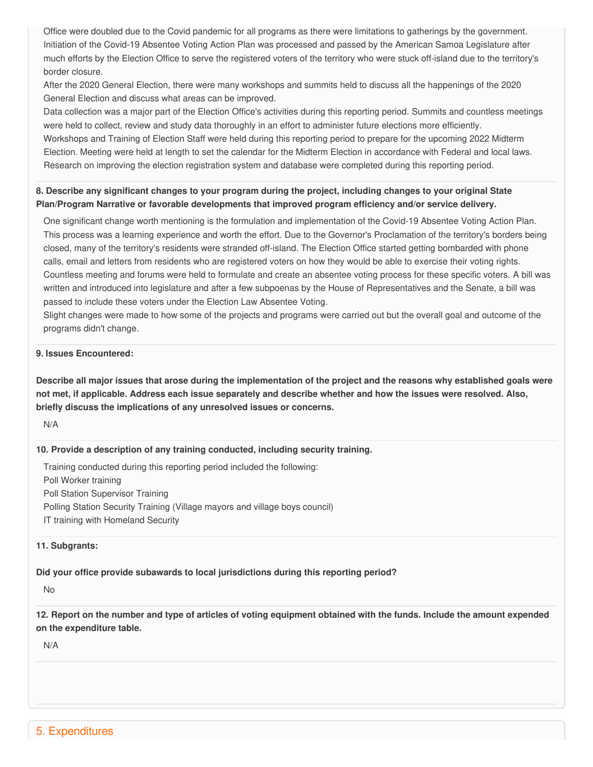Office were doubled due to the Covid pandemic for all programs as there were limitations to gatherings by the government. Initiation of the Covid-19 Absentee Voting Action Plan was processed and passed by the American Samoa Legislature after much efforts by the Election Office to serve the registered voters of the territory who were stuck off-island due to the territory's border closure.

 After the 2020 General Election, there were many workshops and summits held to discuss all the happenings of the 2020 General Election and discuss what areas can be improved.

 Data collection was a major part of the Election Office's activities during this reporting period. Summits and countless meetings were held to collect, review and study data thoroughly in an effort to administer future elections more efficiently. Workshops and Training of Election Staff were held during this reporting period to prepare for the upcoming 2022 Midterm Election. Meeting were held at length to set the calendar for the Midterm Election in accordance with Federal and local laws. Research on improving the election registration system and database were completed during this reporting period.

# 8. Describe any significant changes to your program during the project, including changes to your original State  **Plan/Program Narrative or favorable developments that improved program efficiency and/or service delivery.**

 One significant change worth mentioning is the formulation and implementation of the Covid-19 Absentee Voting Action Plan. This process was a learning experience and worth the effort. Due to the Governor's Proclamation of the territory's borders being closed, many of the territory's residents were stranded off-island. The Election Office started getting bombarded with phone calls, email and letters from residents who are registered voters on how they would be able to exercise their voting rights. Countless meeting and forums were held to formulate and create an absentee voting process for these specific voters. A bill was written and introduced into legislature and after a few subpoenas by the House of Representatives and the Senate, a bill was passed to include these voters under the Election Law Absentee Voting.

 Slight changes were made to how some of the projects and programs were carried out but the overall goal and outcome of the programs didn't change.

### **9. Issues Encountered:**

Describe all major issues that arose during the implementation of the project and the reasons why established goals were not met, if applicable. Address each issue separately and describe whether and how the issues were resolved. Also,  **briefly discuss the implications of any unresolved issues or concerns.**

N/A

#### **10. Provide a description of any training conducted, including security training.**

 Training conducted during this reporting period included the following: Poll Worker training Poll Station Supervisor Training Polling Station Security Training (Village mayors and village boys council) IT training with Homeland Security

#### **11. Subgrants:**

### **Did your office provide subawards to local jurisdictions during this reporting period?**

No

12. Report on the number and type of articles of voting equipment obtained with the funds. Include the amount expended  **on the expenditure table.**

N/A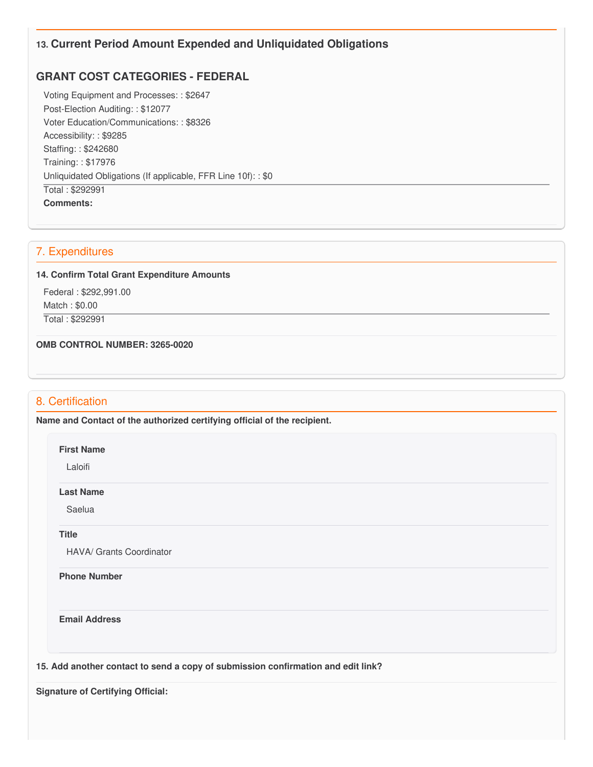# **13. Current Period Amount Expended and Unliquidated Obligations**

# **GRANT COST CATEGORIES - FEDERAL**

 Voting Equipment and Processes: : \$2647 Post-Election Auditing: : \$12077 Voter Education/Communications: : \$8326 Accessibility: : \$9285 Staffing: : \$242680 Training: : \$17976 Unliquidated Obligations (If applicable, FFR Line 10f): : \$0 Total : \$292991 **Comments:**

# 7. Expenditures

#### **14. Confirm Total Grant Expenditure Amounts**

 Federal : \$[292,991.00](https://292,991.00) Match : \$0.00 Total : \$292991

 **OMB CONTROL NUMBER: 3265-0020**

# 8. Certification

 **Name and Contact of the authorized certifying official of the recipient.**

#### **First Name**

Laloifi

#### **Last Name**

Saelua

#### **Title**

HAVA/ Grants Coordinator

#### **Phone Number**

**Email Address**

 **15. Add another contact to send a copy of submission confirmation and edit link?**

 **Signature of Certifying Official:**